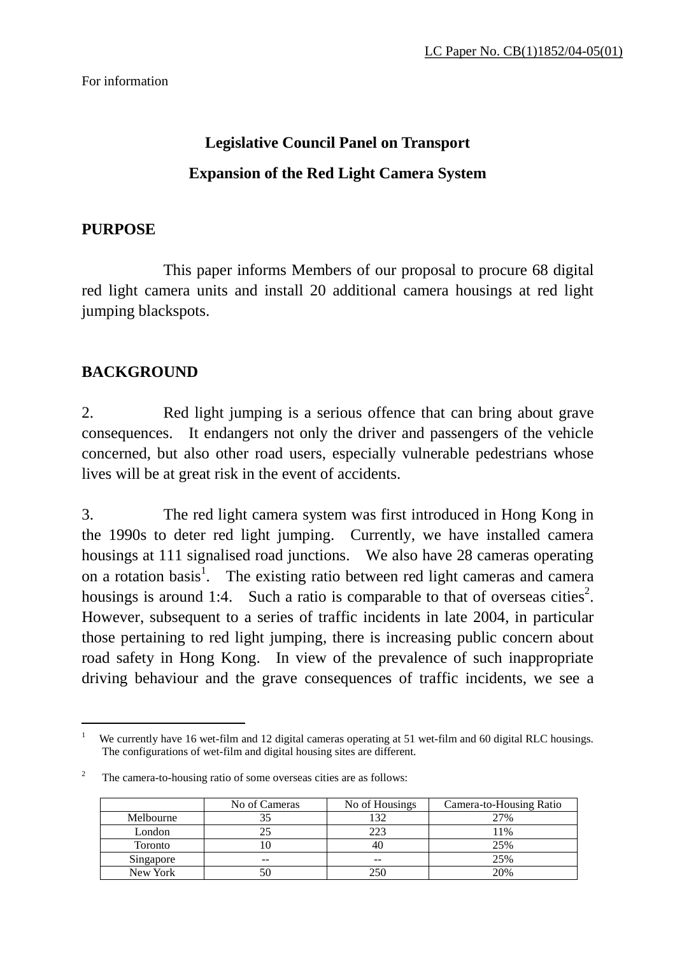# **Legislative Council Panel on Transport Expansion of the Red Light Camera System**

## **PURPOSE**

 This paper informs Members of our proposal to procure 68 digital red light camera units and install 20 additional camera housings at red light jumping blackspots.

# **BACKGROUND**

 $\overline{a}$ 

2. Red light jumping is a serious offence that can bring about grave consequences. It endangers not only the driver and passengers of the vehicle concerned, but also other road users, especially vulnerable pedestrians whose lives will be at great risk in the event of accidents.

3. The red light camera system was first introduced in Hong Kong in the 1990s to deter red light jumping. Currently, we have installed camera housings at 111 signalised road junctions. We also have 28 cameras operating on a rotation basis<sup>1</sup>. The existing ratio between red light cameras and camera housings is around 1:4. Such a ratio is comparable to that of overseas cities<sup>[2](#page-0-1)</sup>. However, subsequent to a series of traffic incidents in late 2004, in particular those pertaining to red light jumping, there is increasing public concern about road safety in Hong Kong. In view of the prevalence of such inappropriate driving behaviour and the grave consequences of traffic incidents, we see a

<span id="page-0-1"></span><sup>2</sup> The camera-to-housing ratio of some overseas cities are as follows:

|           | No of Cameras | No of Housings | Camera-to-Housing Ratio |
|-----------|---------------|----------------|-------------------------|
| Melbourne | 35            | .32            | 27%                     |
| London    | 25            | 223            | 11%                     |
| Toronto   |               |                | 25%                     |
| Singapore | --            | $- -$          | 25%                     |
| New York  | 50            |                | 20%                     |

<span id="page-0-0"></span><sup>1</sup> We currently have 16 wet-film and 12 digital cameras operating at 51 wet-film and 60 digital RLC housings. The configurations of wet-film and digital housing sites are different.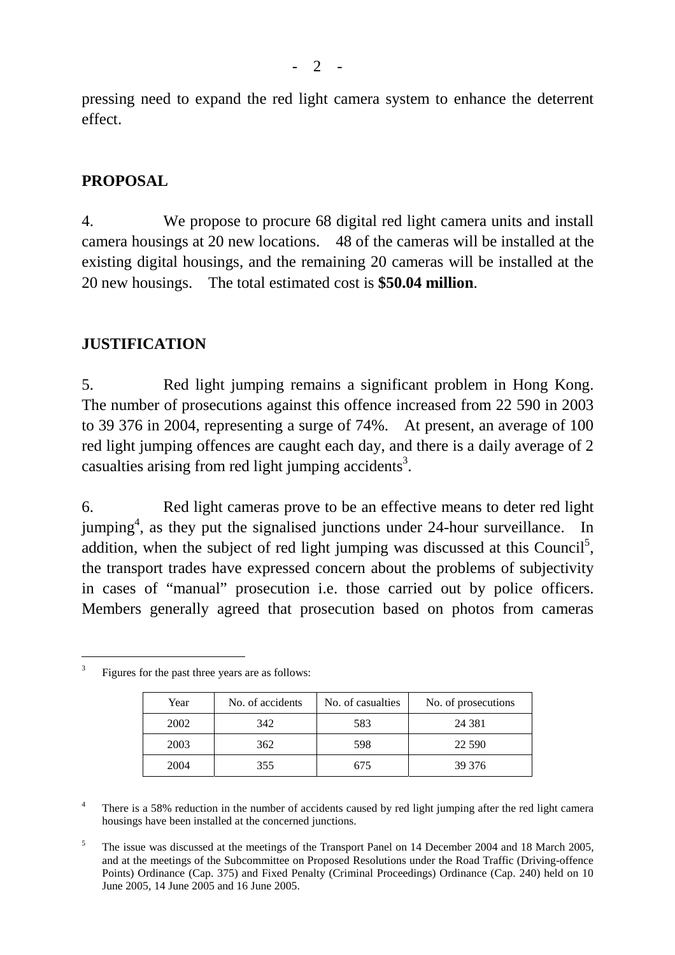pressing need to expand the red light camera system to enhance the deterrent effect.

#### **PROPOSAL**

4. We propose to procure 68 digital red light camera units and install camera housings at 20 new locations. 48 of the cameras will be installed at the existing digital housings, and the remaining 20 cameras will be installed at the 20 new housings. The total estimated cost is **\$50.04 million**.

#### **JUSTIFICATION**

5. Red light jumping remains a significant problem in Hong Kong. The number of prosecutions against this offence increased from 22 590 in 2003 to 39 376 in 2004, representing a surge of 74%. At present, an average of 100 red light jumping offences are caught each day, and there is a daily average of 2 casualties arising from red light jumping accidents<sup>[3](#page-1-0)</sup>.

6. Red light cameras prove to be an effective means to deter red light jumping<sup>[4](#page-1-1)</sup>, as they put the signalised junctions under 24-hour surveillance. In addition, when the subject of red light jumping was discussed at this Council<sup>5</sup>, the transport trades have expressed concern about the problems of subjectivity in cases of "manual" prosecution i.e. those carried out by police officers. Members generally agreed that prosecution based on photos from cameras

| Year | No. of accidents | No. of casualties | No. of prosecutions |
|------|------------------|-------------------|---------------------|
| 2002 | 342              | 583               | 24 3 8 1            |
| 2003 | 362              | 598               | 22 5 9 0            |
| 2004 | 355              | 675               | 39 37 6             |

<span id="page-1-0"></span>3 Figures for the past three years are as follows:

 $\overline{a}$ 

<span id="page-1-1"></span>4 There is a 58% reduction in the number of accidents caused by red light jumping after the red light camera housings have been installed at the concerned junctions.

<span id="page-1-2"></span>5 The issue was discussed at the meetings of the Transport Panel on 14 December 2004 and 18 March 2005, and at the meetings of the Subcommittee on Proposed Resolutions under the Road Traffic (Driving-offence Points) Ordinance (Cap. 375) and Fixed Penalty (Criminal Proceedings) Ordinance (Cap. 240) held on 10 June 2005, 14 June 2005 and 16 June 2005.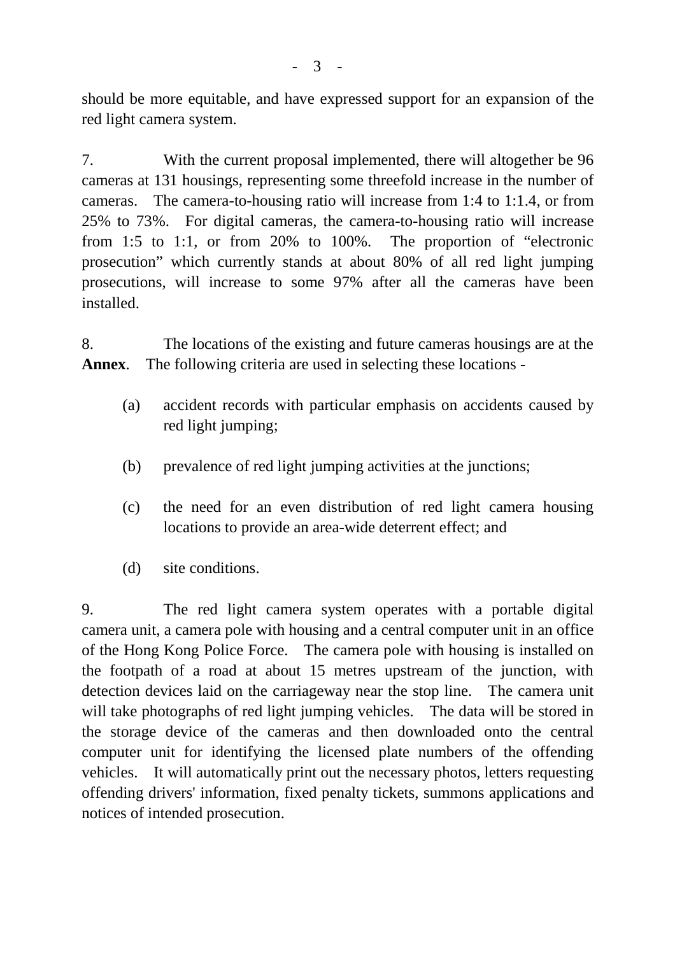should be more equitable, and have expressed support for an expansion of the red light camera system.

7. With the current proposal implemented, there will altogether be 96 cameras at 131 housings, representing some threefold increase in the number of cameras. The camera-to-housing ratio will increase from 1:4 to 1:1.4, or from 25% to 73%. For digital cameras, the camera-to-housing ratio will increase from 1:5 to 1:1, or from 20% to 100%. The proportion of "electronic prosecution" which currently stands at about 80% of all red light jumping prosecutions, will increase to some 97% after all the cameras have been installed.

8. The locations of the existing and future cameras housings are at the **Annex**. The following criteria are used in selecting these locations -

- (a) accident records with particular emphasis on accidents caused by red light jumping;
- (b) prevalence of red light jumping activities at the junctions;
- (c) the need for an even distribution of red light camera housing locations to provide an area-wide deterrent effect; and
- (d) site conditions.

9. The red light camera system operates with a portable digital camera unit, a camera pole with housing and a central computer unit in an office of the Hong Kong Police Force. The camera pole with housing is installed on the footpath of a road at about 15 metres upstream of the junction, with detection devices laid on the carriageway near the stop line. The camera unit will take photographs of red light jumping vehicles. The data will be stored in the storage device of the cameras and then downloaded onto the central computer unit for identifying the licensed plate numbers of the offending vehicles. It will automatically print out the necessary photos, letters requesting offending drivers' information, fixed penalty tickets, summons applications and notices of intended prosecution.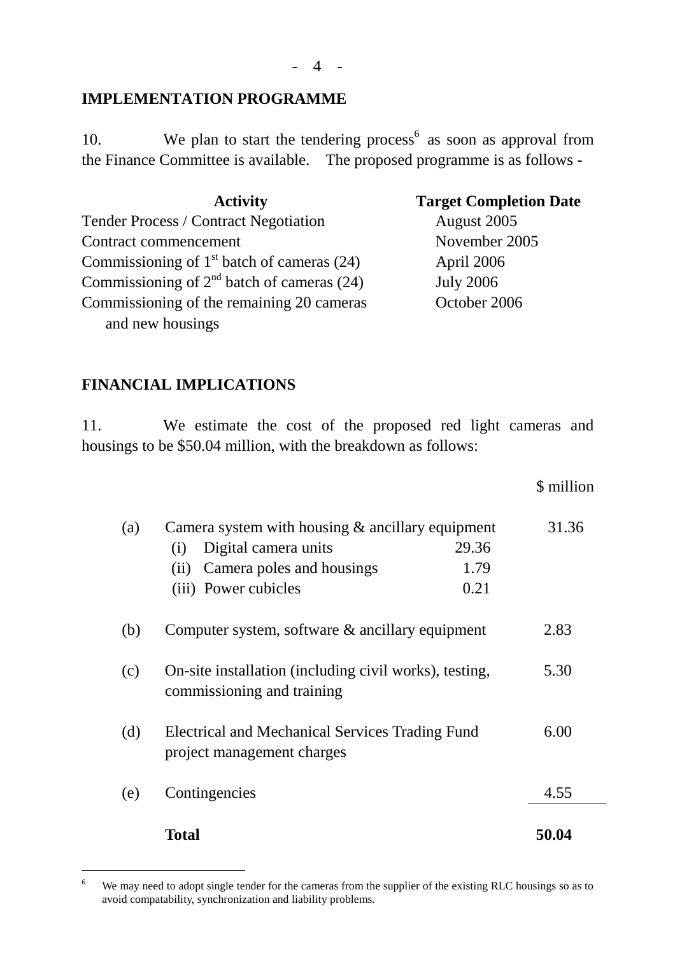## **IMPLEMENTATION PROGRAMME**

10. We plan to start the tendering process<sup> $6$ </sup> as soon as approval from the Finance Committee is available. The proposed programme is as follows -

| <b>Activity</b>                              | <b>Target Completion Date</b> |
|----------------------------------------------|-------------------------------|
| <b>Tender Process / Contract Negotiation</b> | August 2005                   |
| Contract commencement                        | November 2005                 |
| Commissioning of $1st$ batch of cameras (24) | April 2006                    |
| Commissioning of $2nd$ batch of cameras (24) | <b>July 2006</b>              |
| Commissioning of the remaining 20 cameras    | October 2006                  |
| and new housings                             |                               |

## **FINANCIAL IMPLICATIONS**

 $\overline{a}$ 

11. We estimate the cost of the proposed red light cameras and housings to be \$50.04 million, with the breakdown as follows:

\$ million

| (a) | Camera system with housing $&$ ancillary equipment<br>Digital camera units<br>29.36<br>(i)<br>Camera poles and housings<br>1.79<br>(ii)<br>0.21<br>(iii) Power cubicles | 31.36 |
|-----|-------------------------------------------------------------------------------------------------------------------------------------------------------------------------|-------|
| (b) | Computer system, software $\&$ ancillary equipment                                                                                                                      | 2.83  |
| (c) | On-site installation (including civil works), testing,<br>commissioning and training                                                                                    | 5.30  |
| (d) | <b>Electrical and Mechanical Services Trading Fund</b><br>project management charges                                                                                    | 6.00  |
| (e) | Contingencies                                                                                                                                                           | 4.55  |
|     | Total                                                                                                                                                                   | 50.04 |

<span id="page-3-0"></span><sup>6</sup> We may need to adopt single tender for the cameras from the supplier of the existing RLC housings so as to avoid compatability, synchronization and liability problems.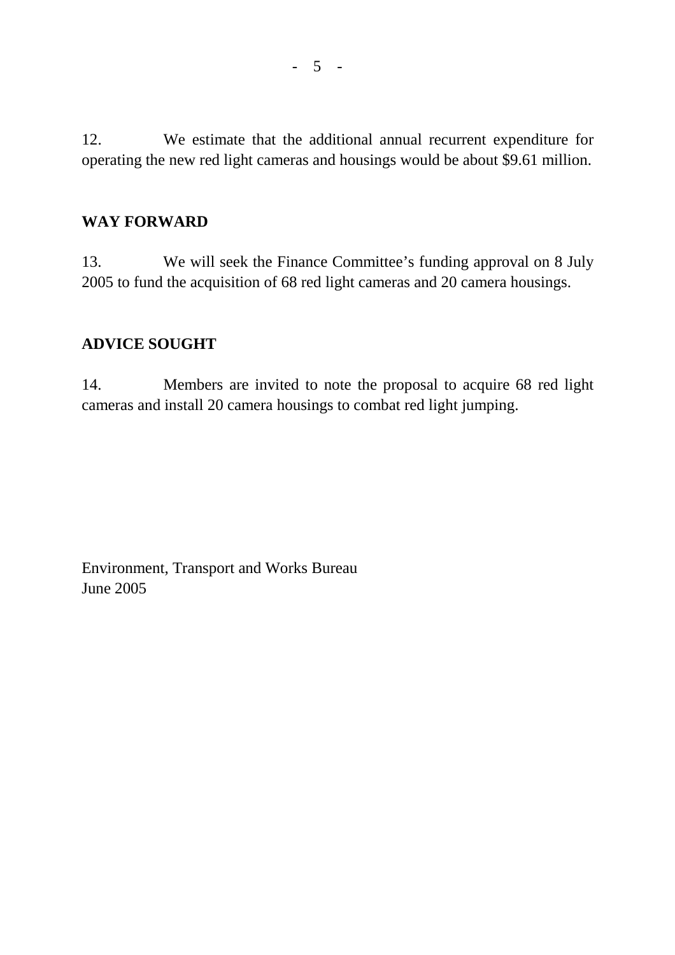12. We estimate that the additional annual recurrent expenditure for operating the new red light cameras and housings would be about \$9.61 million.

#### **WAY FORWARD**

13. We will seek the Finance Committee's funding approval on 8 July 2005 to fund the acquisition of 68 red light cameras and 20 camera housings.

## **ADVICE SOUGHT**

14. Members are invited to note the proposal to acquire 68 red light cameras and install 20 camera housings to combat red light jumping.

Environment, Transport and Works Bureau June 2005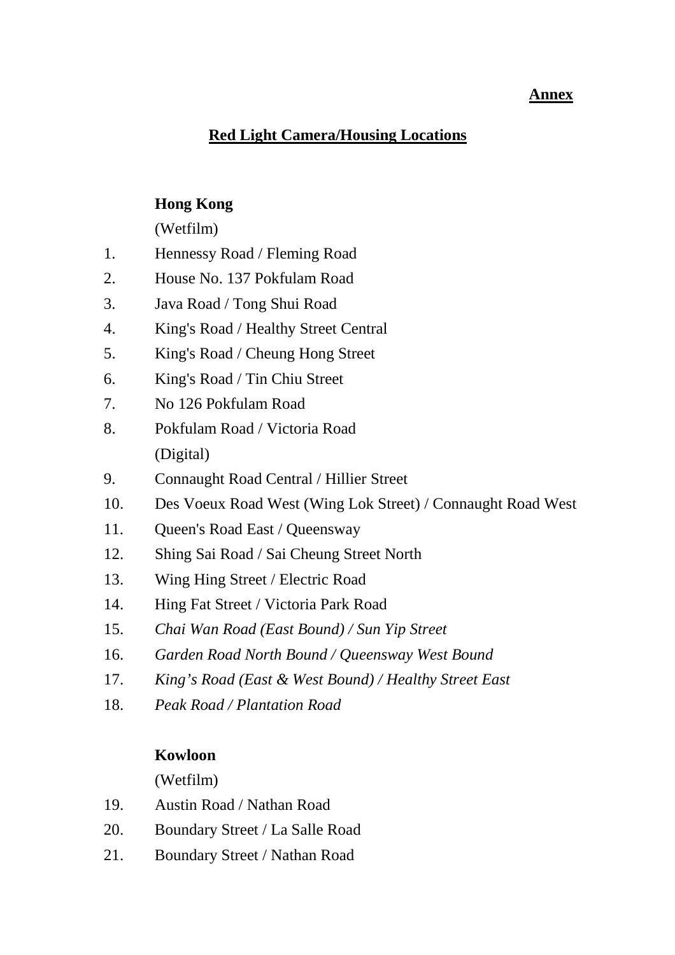#### **Annex**

# **Red Light Camera/Housing Locations**

# **Hong Kong**

(Wetfilm)

- 1. Hennessy Road / Fleming Road
- 2. House No. 137 Pokfulam Road
- 3. Java Road / Tong Shui Road
- 4. King's Road / Healthy Street Central
- 5. King's Road / Cheung Hong Street
- 6. King's Road / Tin Chiu Street
- 7. No 126 Pokfulam Road
- 8. Pokfulam Road / Victoria Road (Digital)
- 9. Connaught Road Central / Hillier Street
- 10. Des Voeux Road West (Wing Lok Street) / Connaught Road West
- 11. Queen's Road East / Queensway
- 12. Shing Sai Road / Sai Cheung Street North
- 13. Wing Hing Street / Electric Road
- 14. Hing Fat Street / Victoria Park Road
- 15. *Chai Wan Road (East Bound) / Sun Yip Street*
- 16. *Garden Road North Bound / Queensway West Bound*
- 17. *King's Road (East & West Bound) / Healthy Street East*
- 18. *Peak Road / Plantation Road*

# **Kowloon**

(Wetfilm)

- 19. Austin Road / Nathan Road
- 20. Boundary Street / La Salle Road
- 21. Boundary Street / Nathan Road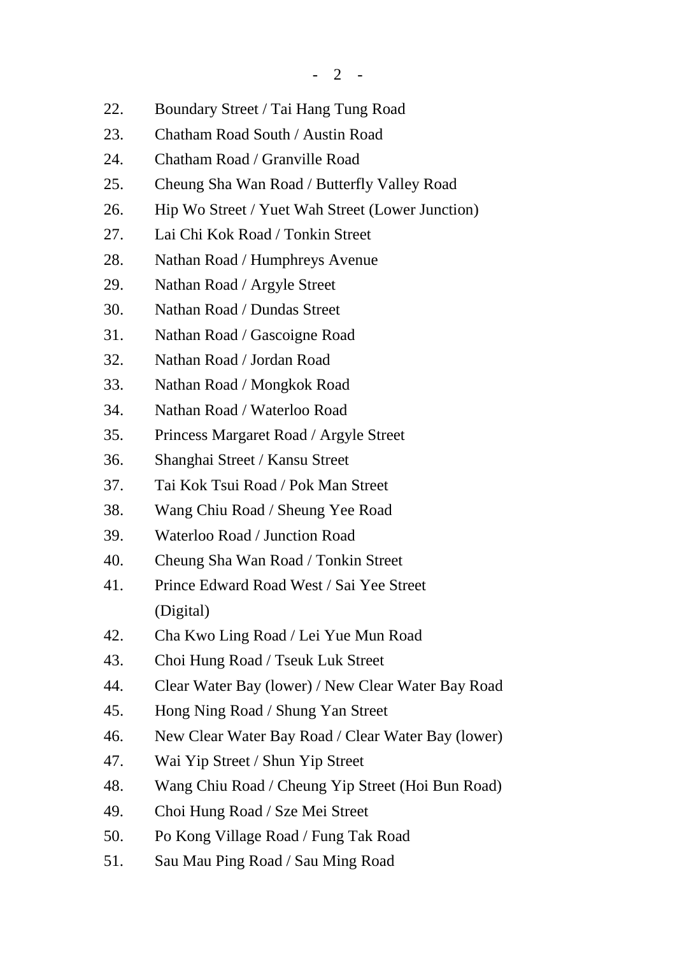- 22. Boundary Street / Tai Hang Tung Road
- 23. Chatham Road South / Austin Road
- 24. Chatham Road / Granville Road
- 25. Cheung Sha Wan Road / Butterfly Valley Road
- 26. Hip Wo Street / Yuet Wah Street (Lower Junction)
- 27. Lai Chi Kok Road / Tonkin Street
- 28. Nathan Road / Humphreys Avenue
- 29. Nathan Road / Argyle Street
- 30. Nathan Road / Dundas Street
- 31. Nathan Road / Gascoigne Road
- 32. Nathan Road / Jordan Road
- 33. Nathan Road / Mongkok Road
- 34. Nathan Road / Waterloo Road
- 35. Princess Margaret Road / Argyle Street
- 36. Shanghai Street / Kansu Street
- 37. Tai Kok Tsui Road / Pok Man Street
- 38. Wang Chiu Road / Sheung Yee Road
- 39. Waterloo Road / Junction Road
- 40. Cheung Sha Wan Road / Tonkin Street
- 41. Prince Edward Road West / Sai Yee Street (Digital)
- 42. Cha Kwo Ling Road / Lei Yue Mun Road
- 43. Choi Hung Road / Tseuk Luk Street
- 44. Clear Water Bay (lower) / New Clear Water Bay Road
- 45. Hong Ning Road / Shung Yan Street
- 46. New Clear Water Bay Road / Clear Water Bay (lower)
- 47. Wai Yip Street / Shun Yip Street
- 48. Wang Chiu Road / Cheung Yip Street (Hoi Bun Road)
- 49. Choi Hung Road / Sze Mei Street
- 50. Po Kong Village Road / Fung Tak Road
- 51. Sau Mau Ping Road / Sau Ming Road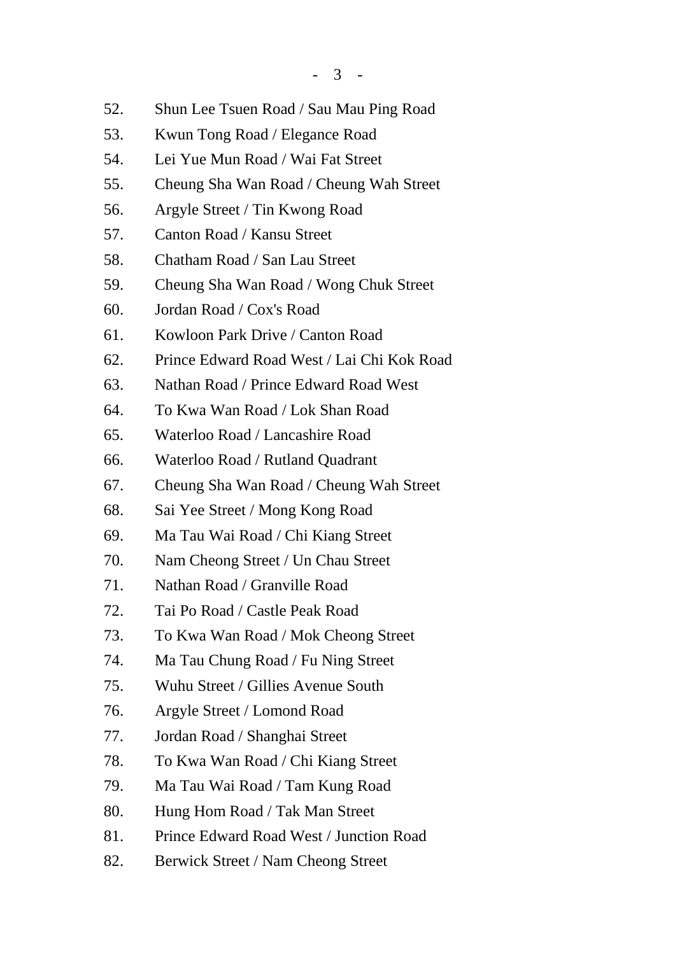- 52. Shun Lee Tsuen Road / Sau Mau Ping Road
- 53. Kwun Tong Road / Elegance Road
- 54. Lei Yue Mun Road / Wai Fat Street
- 55. Cheung Sha Wan Road / Cheung Wah Street
- 56. Argyle Street / Tin Kwong Road
- 57. Canton Road / Kansu Street
- 58. Chatham Road / San Lau Street
- 59. Cheung Sha Wan Road / Wong Chuk Street
- 60. Jordan Road / Cox's Road
- 61. Kowloon Park Drive / Canton Road
- 62. Prince Edward Road West / Lai Chi Kok Road
- 63. Nathan Road / Prince Edward Road West
- 64. To Kwa Wan Road / Lok Shan Road
- 65. Waterloo Road / Lancashire Road
- 66. Waterloo Road / Rutland Quadrant
- 67. Cheung Sha Wan Road / Cheung Wah Street
- 68. Sai Yee Street / Mong Kong Road
- 69. Ma Tau Wai Road / Chi Kiang Street
- 70. Nam Cheong Street / Un Chau Street
- 71. Nathan Road / Granville Road
- 72. Tai Po Road / Castle Peak Road
- 73. To Kwa Wan Road / Mok Cheong Street
- 74. Ma Tau Chung Road / Fu Ning Street
- 75. Wuhu Street / Gillies Avenue South
- 76. Argyle Street / Lomond Road
- 77. Jordan Road / Shanghai Street
- 78. To Kwa Wan Road / Chi Kiang Street
- 79. Ma Tau Wai Road / Tam Kung Road
- 80. Hung Hom Road / Tak Man Street
- 81. Prince Edward Road West / Junction Road
- 82. Berwick Street / Nam Cheong Street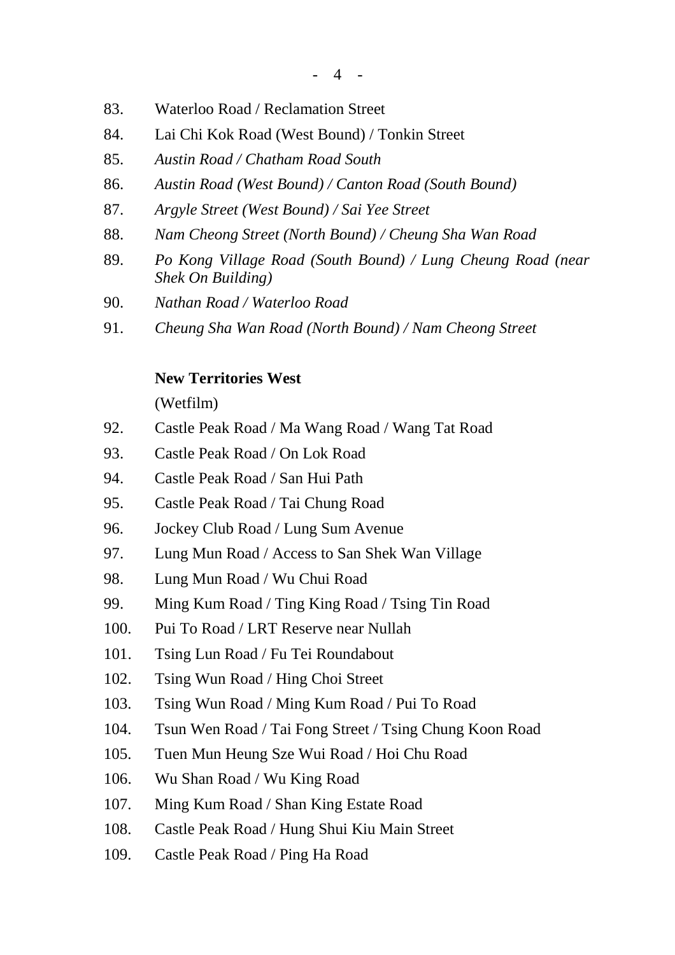- 83. Waterloo Road / Reclamation Street
- 84. Lai Chi Kok Road (West Bound) / Tonkin Street
- 85. *Austin Road / Chatham Road South*
- 86. *Austin Road (West Bound) / Canton Road (South Bound)*
- 87. *Argyle Street (West Bound) / Sai Yee Street*
- 88. *Nam Cheong Street (North Bound) / Cheung Sha Wan Road*
- 89. *Po Kong Village Road (South Bound) / Lung Cheung Road (near Shek On Building)*
- 90. *Nathan Road / Waterloo Road*
- 91. *Cheung Sha Wan Road (North Bound) / Nam Cheong Street*

## **New Territories West**

(Wetfilm)

- 92. Castle Peak Road / Ma Wang Road / Wang Tat Road
- 93. Castle Peak Road / On Lok Road
- 94. Castle Peak Road / San Hui Path
- 95. Castle Peak Road / Tai Chung Road
- 96. Jockey Club Road / Lung Sum Avenue
- 97. Lung Mun Road / Access to San Shek Wan Village
- 98. Lung Mun Road / Wu Chui Road
- 99. Ming Kum Road / Ting King Road / Tsing Tin Road
- 100. Pui To Road / LRT Reserve near Nullah
- 101. Tsing Lun Road / Fu Tei Roundabout
- 102. Tsing Wun Road / Hing Choi Street
- 103. Tsing Wun Road / Ming Kum Road / Pui To Road
- 104. Tsun Wen Road / Tai Fong Street / Tsing Chung Koon Road
- 105. Tuen Mun Heung Sze Wui Road / Hoi Chu Road
- 106. Wu Shan Road / Wu King Road
- 107. Ming Kum Road / Shan King Estate Road
- 108. Castle Peak Road / Hung Shui Kiu Main Street
- 109. Castle Peak Road / Ping Ha Road